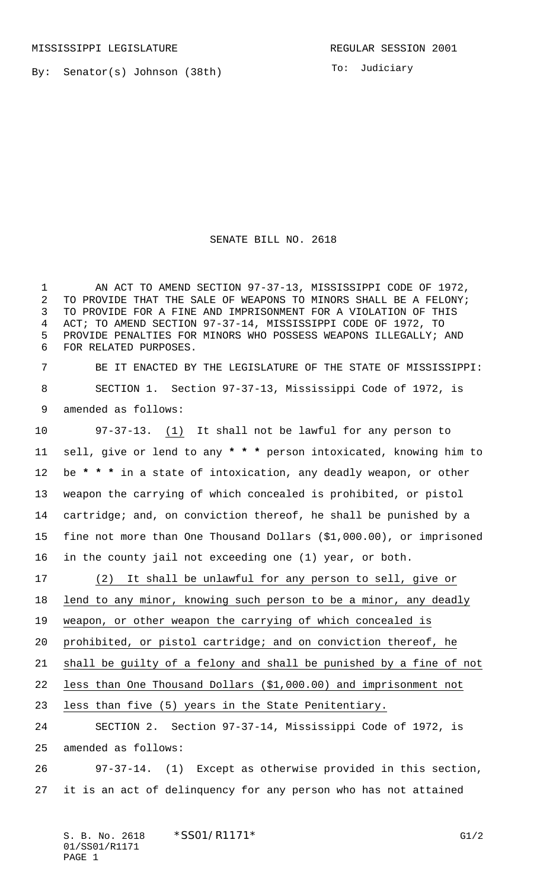By: Senator(s) Johnson (38th)

To: Judiciary

SENATE BILL NO. 2618

 AN ACT TO AMEND SECTION 97-37-13, MISSISSIPPI CODE OF 1972, TO PROVIDE THAT THE SALE OF WEAPONS TO MINORS SHALL BE A FELONY; TO PROVIDE FOR A FINE AND IMPRISONMENT FOR A VIOLATION OF THIS ACT; TO AMEND SECTION 97-37-14, MISSISSIPPI CODE OF 1972, TO PROVIDE PENALTIES FOR MINORS WHO POSSESS WEAPONS ILLEGALLY; AND FOR RELATED PURPOSES.

 BE IT ENACTED BY THE LEGISLATURE OF THE STATE OF MISSISSIPPI: SECTION 1. Section 97-37-13, Mississippi Code of 1972, is amended as follows:

 97-37-13. (1) It shall not be lawful for any person to sell, give or lend to any **\* \* \*** person intoxicated, knowing him to be **\* \* \*** in a state of intoxication, any deadly weapon, or other weapon the carrying of which concealed is prohibited, or pistol cartridge; and, on conviction thereof, he shall be punished by a fine not more than One Thousand Dollars (\$1,000.00), or imprisoned in the county jail not exceeding one (1) year, or both.

 (2) It shall be unlawful for any person to sell, give or lend to any minor, knowing such person to be a minor, any deadly weapon, or other weapon the carrying of which concealed is prohibited, or pistol cartridge; and on conviction thereof, he shall be guilty of a felony and shall be punished by a fine of not less than One Thousand Dollars (\$1,000.00) and imprisonment not less than five (5) years in the State Penitentiary.

 SECTION 2. Section 97-37-14, Mississippi Code of 1972, is amended as follows:

 97-37-14. (1) Except as otherwise provided in this section, it is an act of delinquency for any person who has not attained

S. B. No. 2618 \* SSO1/R1171\* G1/2 01/SS01/R1171 PAGE 1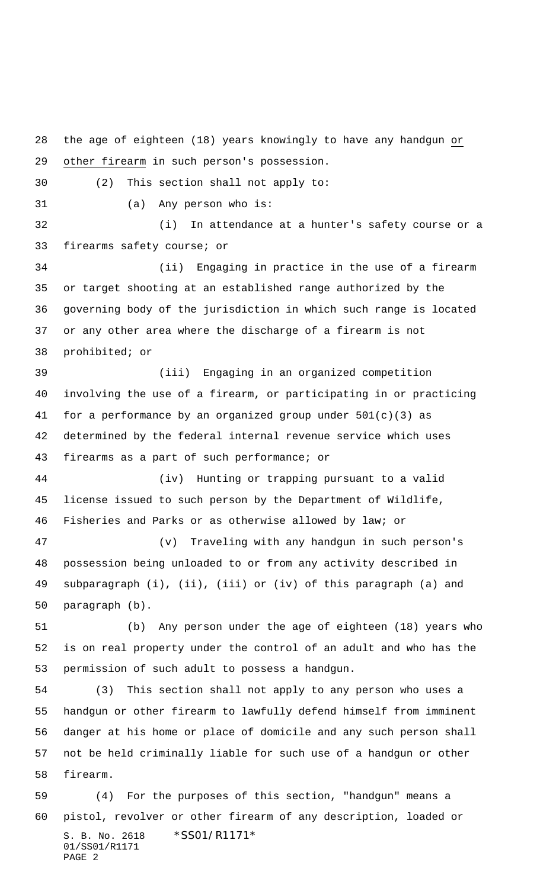S. B. No. 2618 \*SS01/R1171\* 01/SS01/R1171 the age of eighteen (18) years knowingly to have any handgun or other firearm in such person's possession. (2) This section shall not apply to: (a) Any person who is: (i) In attendance at a hunter's safety course or a firearms safety course; or (ii) Engaging in practice in the use of a firearm or target shooting at an established range authorized by the governing body of the jurisdiction in which such range is located or any other area where the discharge of a firearm is not prohibited; or (iii) Engaging in an organized competition involving the use of a firearm, or participating in or practicing for a performance by an organized group under 501(c)(3) as determined by the federal internal revenue service which uses firearms as a part of such performance; or (iv) Hunting or trapping pursuant to a valid license issued to such person by the Department of Wildlife, Fisheries and Parks or as otherwise allowed by law; or (v) Traveling with any handgun in such person's possession being unloaded to or from any activity described in subparagraph (i), (ii), (iii) or (iv) of this paragraph (a) and paragraph (b). (b) Any person under the age of eighteen (18) years who is on real property under the control of an adult and who has the permission of such adult to possess a handgun. (3) This section shall not apply to any person who uses a handgun or other firearm to lawfully defend himself from imminent danger at his home or place of domicile and any such person shall not be held criminally liable for such use of a handgun or other firearm. (4) For the purposes of this section, "handgun" means a pistol, revolver or other firearm of any description, loaded or

PAGE 2